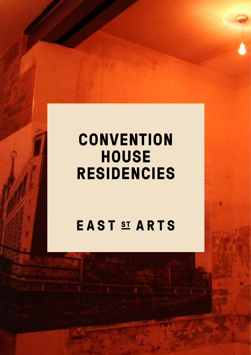# **CONVENTION HOUSE RESIDENCIES**

**EAST ST ARTS**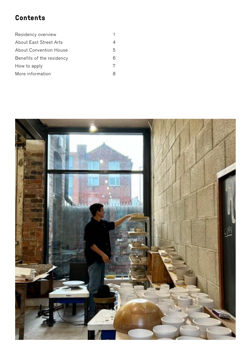### **Contents**

| Residency overview            |   |
|-------------------------------|---|
| <b>About East Street Arts</b> | 4 |
| <b>About Convention House</b> | 5 |
| Benefits of the residency     | 6 |
| How to apply                  | 7 |
| More information              | R |

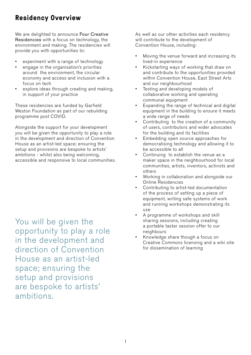### **Residency Overview**

We are delighted to announce Four Creative Residencies with a focus on technology, the environment and making. The residencies will provide you with opportunities to:

- experiment with a range of technology
- engage in the organisation's priorities around the environment, the circular economy and access and inclusion with a focus on tech
- explore ideas through creating and making, in support of your practice

These residencies are funded by Garfield Weston Foundation as part of our rebuilding programme post COVID.

Alongside the support for your development you will be given the opportunity to play a role in the development and direction of Convention House as an artist-led space; ensuring the setup and provisions are bespoke to artists' ambitions - whilst also being welcoming, accessible and responsive to local communities.

You will be given the opportunity to play a role in the development and direction of Convention House as an artist-led space; ensuring the setup and provisions are bespoke to artists' ambitions.

As well as our other activities each residency will contribute to the development of Convention House, including:

- Moving the venue forward and increasing its lived-in experience
- Kickstarting ways of working that draw on and contribute to the opportunities provided within Convention House, East Street Arts and our neighbourhood
- Testing and developing models of collaborative working and operating communal equipment
- Expanding the range of technical and digital equipment in the building to ensure it meets a wide range of needs
- Contributing to the creation of a community of users, contributors and wider advocates for the building and its facilities
- Embedding open source approaches for democratising technology and allowing it to be accessible to all
- Continuing to establish the venue as a maker space in the neighbourhood for local communities, artists, inventors, activists and others
- Working in collaboration and alongside our Online Residencies
- Contributing to artist-led documentation of the process of setting up a piece of equipment, writing safe systems of work and running workshops demonstrating its use
- A programme of workshops and skill sharing sessions, including creating a portable taster session offer to our neighbours
- Knowledge share though a focus on Creative Commons licensing and a wiki site for dissemination of learning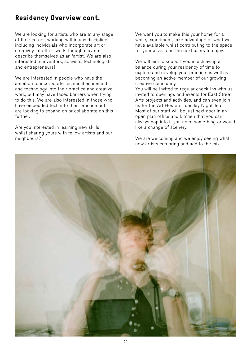### **Residency Overview cont.**

We are looking for artists who are at any stage of their career, working within any discipline, including individuals who incorporate art or creativity into their work, though may not describe themselves as an 'artist'. We are also interested in inventors, activists, technologists, and entrepreneurs!

We are interested in people who have the ambition to incorporate technical equipment and technology into their practice and creative work, but may have faced barriers when trying to do this. We are also interested in those who have embedded tech into their practice but are looking to expand on or collaborate on this further.

Are you interested in learning new skills whilst sharing yours with fellow artists and our neighbours?

We want you to make this your home for a while, experiment, take advantage of what we have available whilst contributing to the space for yourselves and the next users to enjoy.

We will aim to support you in achieving a balance during your residency of time to explore and develop your practice as well as becoming an active member of our growing creative community.

You will be invited to regular check-ins with us, invited to openings and events for East Street Arts projects and activities, and can even join us for the Art Hostel's Tuesday Night Tea! Most of our staff will be just next door in an open plan office and kitchen that you can always pop into if you need something or would like a change of scenery.

We are welcoming and we enjoy seeing what new artists can bring and add to the mix.

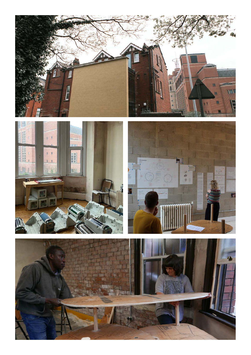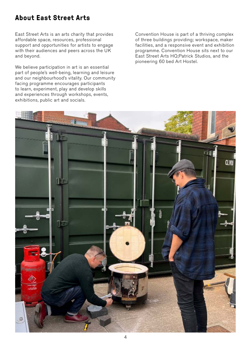### **About East Street Arts**

East Street Arts is an arts charity that provides affordable space, resources, professional support and opportunities for artists to engage with their audiences and peers across the UK and beyond.

We believe participation in art is an essential part of people's well-being, learning and leisure and our neighbourhood's vitality. Our community facing programme encourages participants to learn, experiment, play and develop skills and experiences through workshops, events, exhibitions, public art and socials.

Convention House is part of a thriving complex of three buildings providing; workspace, maker facilities, and a responsive event and exhibition programme. Convention House sits next to our East Street Arts HQ;Patrick Studios, and the pioneering 60 bed Art Hostel.

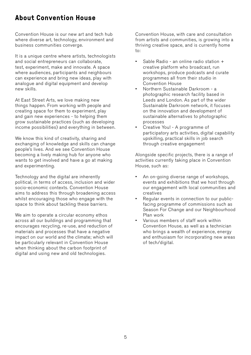### **About Convention House**

Convention House is our new art and tech hub where diverse art, technology, environment and business communities converge.

It is a unique centre where artists, technologists and social entrepreneurs can collaborate, test, experiment, make and innovate. A space where audiences, participants and neighbours can experience and bring new ideas, play with analogue and digital equipment and develop new skills.

At East Street Arts, we love making new things happen. From working with people and creating space for them to experiment, play and gain new experiences - to helping them grow sustainable practices (such as developing income possibilities) and everything in between.

We know this kind of creativity, sharing and exchanging of knowledge and skills can change people's lives. And we see Convention House becoming a lively making hub for anyone who wants to get involved and have a go at making and experimenting.

Technology and the digital are inherently political, in terms of access, inclusion and wider socio-economic contexts. Convention House aims to address this through broadening access whilst encouraging those who engage with the space to think about tackling these barriers.

We aim to operate a circular economy ethos across all our buildings and programming that encourages recycling, re-use, and reduction of materials and processes that have a negative impact on our world and the climate; which will be particularly relevant in Convention House when thinking about the carbon footprint of digital and using new and old technologies.

Convention House, with care and consultation from artists and communities, is growing into a thriving creative space, and is currently home  $to:$ 

- Sable Radio an online radio station + creative platform who broadcast, run workshops, produce podcasts and curate programmes all from their studio in Convention House
- Northern Sustainable Darkroom a photographic research facility based in Leeds and London. As part of the wider Sustainable Darkroom network, it focuses on the innovation and development of sustainable alternatives to photographic processes
- Creative You! A programme of participatory arts activities, digital capability upskilling, practical skills in job search through creative engagement

Alongside specific projects, there is a range of activities currently taking place in Convention House, such as:

- An on-going diverse range of workshops, events and exhibitions that we host through our engagement with local communities and creatives
- Regular events in connection to our publicfacing programme of commissions such as Season For Change and our Neighbourhood Plan work
- Various members of staff work within Convention House, as well as a technician who brings a wealth of experience, energy and enthusiasm for incorporating new areas of tech/digital.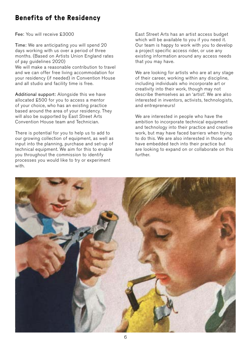### **Benefits of the Residency**

Fee: You will receive £3000

Time: We are anticipating you will spend 20 days working with us over a period of three months. (Based on Artists Union England rates of pay guidelines 2020)

We will make a reasonable contribution to travel and we can offer free living accommodation for your residency (if needed) in Convention House and all studio and facility time is free.

Additional support: Alongside this we have allocated £500 for you to access a mentor of your choice, who has an existing practice based around the area of your residency. They will also be supported by East Street Arts Convention House team and Technician.

There is potential for you to help us to add to our growing collection of equipment, as well as input into the planning, purchase and set-up of technical equipment. We aim for this to enable you throughout the commission to identify processes you would like to try or experiment with.

East Street Arts has an artist access budget which will be available to you if you need it. Our team is happy to work with you to develop a project specific access rider, or use any existing information around any access needs that you may have.

We are looking for artists who are at any stage of their career, working within any discipline, including individuals who incorporate art or creativity into their work, though may not describe themselves as an 'artist'. We are also interested in inventors, activists, technologists, and entrepreneurs!

We are interested in people who have the ambition to incorporate technical equipment and technology into their practice and creative work, but may have faced barriers when trying to do this. We are also interested in those who have embedded tech into their practice but are looking to expand on or collaborate on this further.

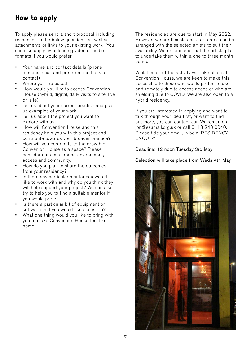### **How to apply**

To apply please send a short proposal including responses to the below questions, as well as attachments or links to your existing work. You can also apply by uploading video or audio formats if you would prefer..

- Your name and contact details (phone number, email and preferred methods of contact)
- Where you are based
- How would you like to access Convention House (hybrid, digital, daily visits to site, live on site)
- Tell us about your current practice and give us examples of your work
- Tell us about the project you want to explore with us
- How will Convention House and this residency help you with this project and contribute towards your broader practice?
- How will you contribute to the growth of Convenion House as a space? Please consider our aims around environment, access and community.
- How do you plan to share the outcomes from your residency?
- Is there any particular mentor you would like to work with and why do you think they will help support your project? We can also try to help you to find a suitable mentor if you would prefer
- Is there a particular bit of equipment or software that you would like access to?
- What one thing would you like to bring with you to make Convention House feel like home

The residencies are due to start in May 2022. However we are flexible and start dates can be arranged with the selected artists to suit their availability. We recommend that the artists plan to undertake them within a one to three month period.

Whilst much of the activity will take place at Convention House, we are keen to make this accessible to those who would prefer to take part remotely due to access needs or who are shielding due to COVID. We are also open to a hybrid residency.

If you are interested in applying and want to talk through your idea first, or want to find out more, you can contact Jon Wakeman on jon@esamail.org.uk or call 0113 248 0040. Please title your email, in bold; RESIDENCY ENQUIRY.

#### Deadline: 12 noon Tuesday 3rd May

#### Selection will take place from Weds 4th May

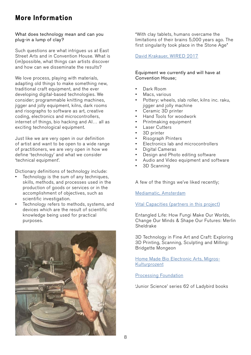### **More Information**

What does technology mean and can you plug-in a lump of clay?

Such questions are what intrigues us at East Street Arts and in Convention House. What is (im)possible, what things can artists discover and how can we disseminate the results?

We love process, playing with materials, adapting old things to make something new, traditional craft equipment, and the ever developing digital-based technologies. We consider; programmable knitting machines, jigger and jolly equipment, kilns, dark rooms and risographs to software as art, creative coding, electronics and microcontrollers, internet of things, bio hacking and AI… all as exciting technological equipment.

Just like we are very open in our definition of artist and want to be open to a wide range of practitioners, we are very open in how we define 'technology' and what we consider 'technical equipment'.

Dictionary definitions of technology include:

- Technology is the sum of any techniques, skills, methods, and processes used in the production of goods or services or in the accomplishment of objectives, such as scientific investigation.
- Technology refers to methods, systems, and devices which are the result of scientific knowledge being used for practical purposes.



"With clay tablets, humans overcame the limitations of their brains 5,000 years ago. The first singularity took place in the Stone Age"

#### [David Krakauer, WIRED 2017](https://www.wired.co.uk/article/singularity-comes-from-clay-not-computers)

#### Equipment we currently and will have at Convention House;

- Dark Room
- Macs, various
- Pottery: wheels, slab roller, kilns inc. raku, jigger and jolly machine
- Ceramic 3D printer
- Hand Tools for woodwork
- Printmaking equipment
- Laser Cutters
- 3D printer
- Risograph Printers
- Electronics lab and microcontrollers
- Digital Cameras
- Design and Photo editing software
- Audio and Video equipment and software
- 3D Scanning

A few of the things we've liked recently;

#### [Mediamatic, Amsterdam](https://www.mediamatic.net/)

[Vital Capacities \(partners in this project\)](https://vitalcapacities.com/)

Entangled Life: How Fungi Make Our Worlds, Change Our Minds & Shape Our Futures: Merlin Sheldrake

3D Technology in Fine Art and Craft: Exploring 3D Printing, Scanning, Sculpting and Milling: Bridgette Mongeon

[Home Made Bio Electronic Arts, Migros-](http://t.ly/B1RL)[Kulturprozent](http://t.ly/B1RL)

#### [Processing Foundation](https://processingfoundation.org/ https://processing.org/
)

'Junior Science' series 62 of Ladybird books